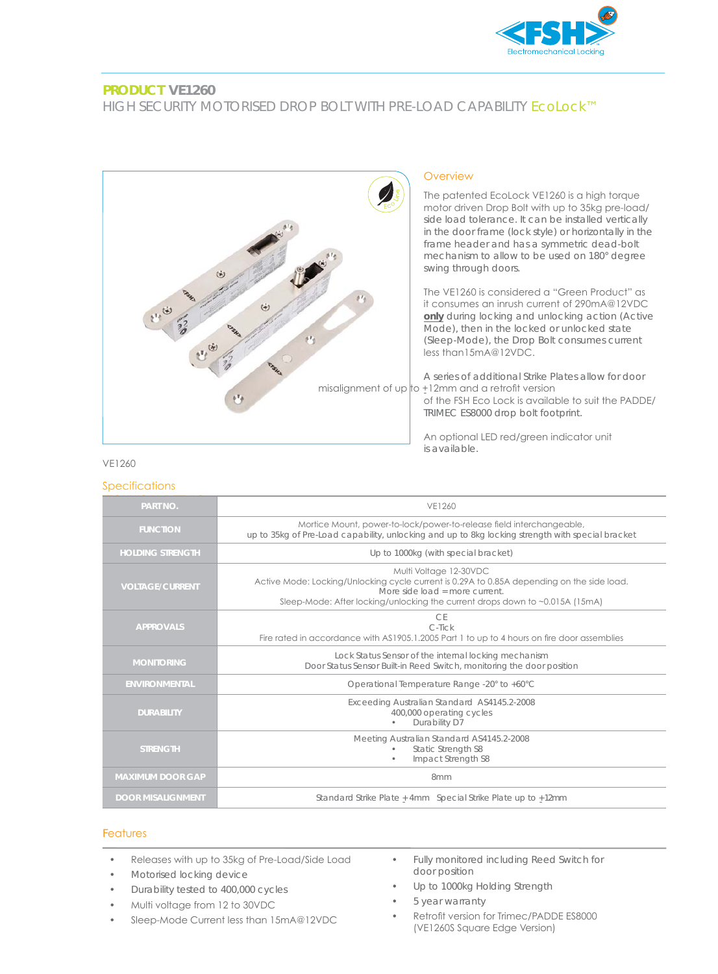

## **PRODUCT VE1260**

# HIGH SECURITY MOTORISED DROP BOLT WITH PRE-LOAD CAPABILITY EcoLock™



#### VE1260

#### **Specifications**

| <b>PART NO.</b>          | VE1260                                                                                                                                                                                                                                 |
|--------------------------|----------------------------------------------------------------------------------------------------------------------------------------------------------------------------------------------------------------------------------------|
| <b>FUNCTION</b>          | Mortice Mount, power-to-lock/power-to-release field interchangeable,<br>up to 35kg of Pre-Load capability, unlocking and up to 8kg locking strength with special bracket                                                               |
| <b>HOLDING STRENGTH</b>  | Up to 1000kg (with special bracket)                                                                                                                                                                                                    |
| <b>VOLTAGE/CURRENT</b>   | Multi Voltage 12-30VDC<br>Active Mode: Locking/Unlocking cycle current is 0.29A to 0.85A depending on the side load.<br>More side load = more current.<br>Sleep-Mode: After locking/unlocking the current drops down to ~0.015A (15mA) |
| <b>APPROVALS</b>         | CF<br>$C$ -Tick<br>Fire rated in accordance with AS1905.1.2005 Part 1 to up to 4 hours on fire door assemblies                                                                                                                         |
| <b>MONITORING</b>        | Lock Status Sensor of the internal locking mechanism<br>Door Status Sensor Built-in Reed Switch, monitoring the door position                                                                                                          |
| <b>ENVIRONMENTAL</b>     | Operational Temperature Range -20° to +60°C                                                                                                                                                                                            |
| <b>DURABILITY</b>        | Exceeding Australian Standard AS4145.2-2008<br>400,000 operating cycles<br>Durability D7                                                                                                                                               |
| <b>STRENGTH</b>          | Meeting Australian Standard AS4145.2-2008<br>Static Strength S8<br>Impact Strength S8                                                                                                                                                  |
| <b>MAXIMUM DOOR GAP</b>  | 8mm                                                                                                                                                                                                                                    |
| <b>DOOR MISALIGNMENT</b> | Standard Strike Plate + 4mm Special Strike Plate up to +12mm                                                                                                                                                                           |

## Features

- Releases with up to 35kg of Pre-Load/Side Load
- Motorised locking device
- Durability tested to 400,000 cycles
- Multi voltage from 12 to 30VDC
- Sleep-Mode Current less than 15mA@12VDC
- Fully monitored including Reed Switch for door position
- Up to 1000kg Holding Strength
- 5 year warranty
- Retrofit version for Trimec/PADDE ES8000 (VE1260S Square Edge Version)